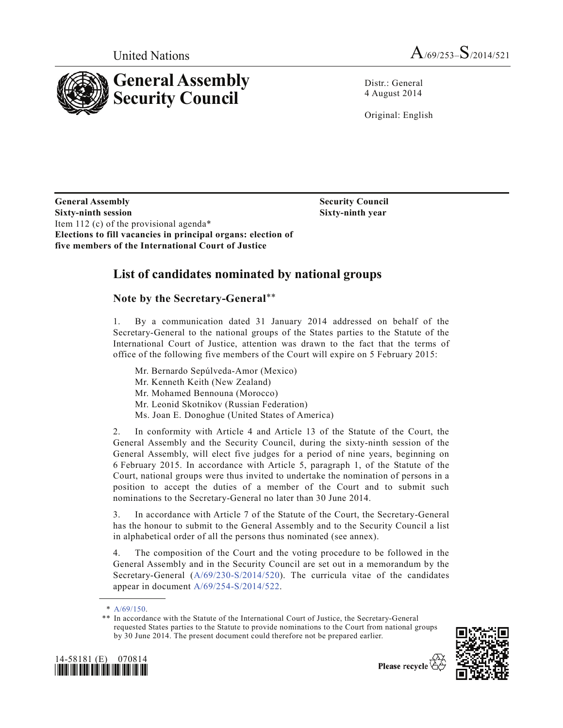



Distr.: General 4 August 2014

Original: English

**Security Council Sixty-ninth year**

**General Assembly Sixty-ninth session** Item 112 (c) of the provisional agenda\* **Elections to fill vacancies in principal organs: election of five members of the International Court of Justice**

## **List of candidates nominated by national groups**

## **Note by the Secretary-General**\*\*

1. By a communication dated 31 January 2014 addressed on behalf of the Secretary-General to the national groups of the States parties to the Statute of the International Court of Justice, attention was drawn to the fact that the terms of office of the following five members of the Court will expire on 5 February 2015:

- Mr. Bernardo Sepúlveda-Amor (Mexico)
- Mr. Kenneth Keith (New Zealand)
- Mr. Mohamed Bennouna (Morocco)
- Mr. Leonid Skotnikov (Russian Federation)
- Ms. Joan E. Donoghue (United States of America)

2. In conformity with Article 4 and Article 13 of the Statute of the Court, the General Assembly and the Security Council, during the sixty-ninth session of the General Assembly, will elect five judges for a period of nine years, beginning on 6 February 2015. In accordance with Article 5, paragraph 1, of the Statute of the Court, national groups were thus invited to undertake the nomination of persons in a position to accept the duties of a member of the Court and to submit such nominations to the Secretary-General no later than 30 June 2014.

3. In accordance with Article 7 of the Statute of the Court, the Secretary-General has the honour to submit to the General Assembly and to the Security Council a list in alphabetical order of all the persons thus nominated (see annex).

4. The composition of the Court and the voting procedure to be followed in the General Assembly and in the Security Council are set out in a memorandum by the Secretary-General (A/69/230-S/2014/520). The curricula vitae of the candidates appear in document A/69/254-S/2014/522.

<sup>\*\*</sup> In accordance with the Statute of the International Court of Justice, the Secretary-General requested States parties to the Statute to provide nominations to the Court from national groups by 30 June 2014. The present document could therefore not be prepared earlier.





<sup>\*</sup>  $A/69/150$ .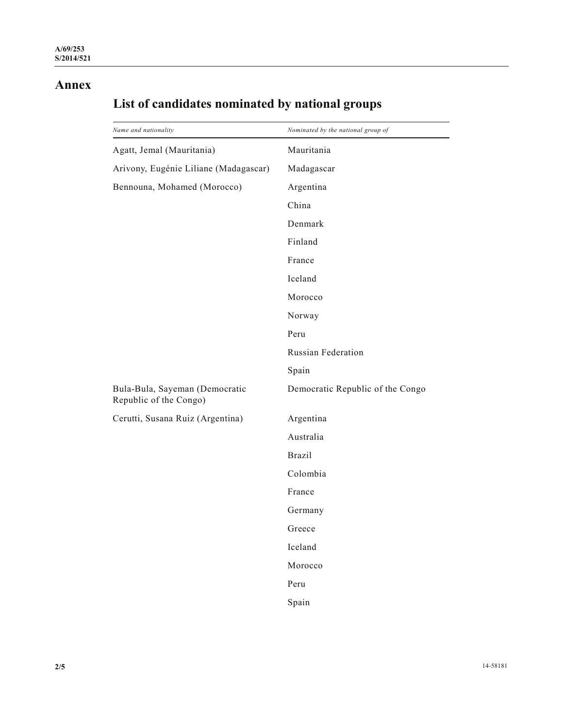## **Annex**

| Name and nationality                                     | Nominated by the national group of |
|----------------------------------------------------------|------------------------------------|
| Agatt, Jemal (Mauritania)                                | Mauritania                         |
| Arivony, Eugénie Liliane (Madagascar)                    | Madagascar                         |
| Bennouna, Mohamed (Morocco)                              | Argentina                          |
|                                                          | China                              |
|                                                          | Denmark                            |
|                                                          | Finland                            |
|                                                          | France                             |
|                                                          | Iceland                            |
|                                                          | Morocco                            |
|                                                          | Norway                             |
|                                                          | Peru                               |
|                                                          | <b>Russian Federation</b>          |
|                                                          | Spain                              |
| Bula-Bula, Sayeman (Democratic<br>Republic of the Congo) | Democratic Republic of the Congo   |
| Cerutti, Susana Ruiz (Argentina)                         | Argentina                          |
|                                                          | Australia                          |
|                                                          | <b>Brazil</b>                      |
|                                                          | Colombia                           |
|                                                          | France                             |
|                                                          | Germany                            |
|                                                          | Greece                             |
|                                                          | Iceland                            |
|                                                          | Morocco                            |
|                                                          | Peru                               |
|                                                          | Spain                              |

## **List of candidates nominated by national groups**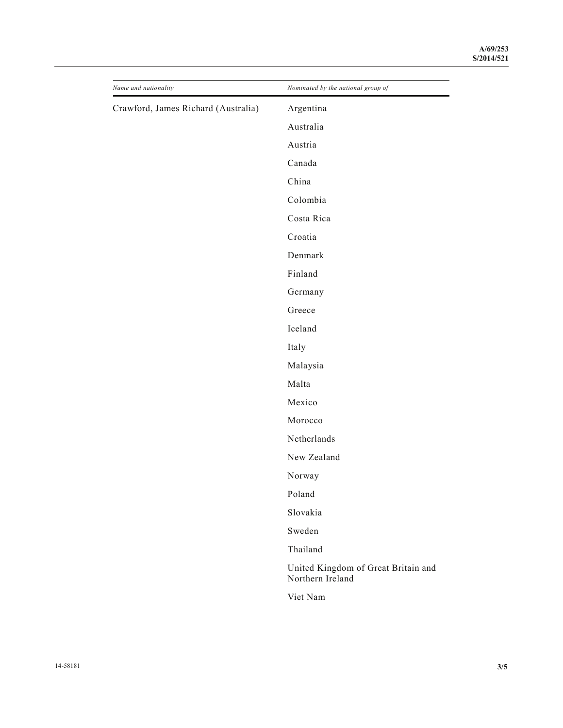| Name and nationality                | Nominated by the national group of                      |
|-------------------------------------|---------------------------------------------------------|
| Crawford, James Richard (Australia) | Argentina                                               |
|                                     | Australia                                               |
|                                     | Austria                                                 |
|                                     | Canada                                                  |
|                                     | China                                                   |
|                                     | Colombia                                                |
|                                     | Costa Rica                                              |
|                                     | Croatia                                                 |
|                                     | Denmark                                                 |
|                                     | Finland                                                 |
|                                     | Germany                                                 |
|                                     | Greece                                                  |
|                                     | Iceland                                                 |
|                                     | Italy                                                   |
|                                     | Malaysia                                                |
|                                     | Malta                                                   |
|                                     | Mexico                                                  |
|                                     | Morocco                                                 |
|                                     | Netherlands                                             |
|                                     | New Zealand                                             |
|                                     | Norway                                                  |
|                                     | Poland                                                  |
|                                     | Slovakia                                                |
|                                     | Sweden                                                  |
|                                     | Thailand                                                |
|                                     | United Kingdom of Great Britain and<br>Northern Ireland |
|                                     | Viet Nam                                                |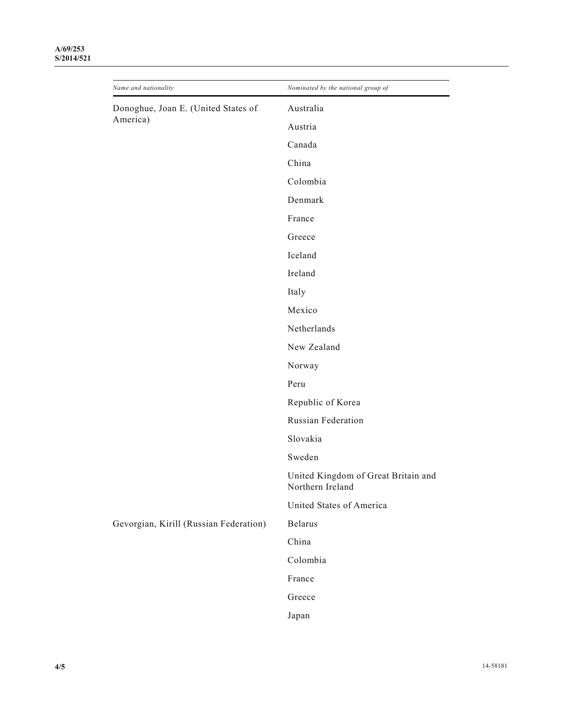| Name and nationality                            | Nominated by the national group of                      |
|-------------------------------------------------|---------------------------------------------------------|
| Donoghue, Joan E. (United States of<br>America) | Australia                                               |
|                                                 | Austria                                                 |
|                                                 | Canada                                                  |
|                                                 | China                                                   |
|                                                 | Colombia                                                |
|                                                 | Denmark                                                 |
|                                                 | France                                                  |
|                                                 | Greece                                                  |
|                                                 | Iceland                                                 |
|                                                 | Ireland                                                 |
|                                                 | Italy                                                   |
|                                                 | Mexico                                                  |
|                                                 | Netherlands                                             |
|                                                 | New Zealand                                             |
|                                                 | Norway                                                  |
|                                                 | Peru                                                    |
|                                                 | Republic of Korea                                       |
|                                                 | Russian Federation                                      |
|                                                 | Slovakia                                                |
|                                                 | Sweden                                                  |
|                                                 | United Kingdom of Great Britain and<br>Northern Ireland |
|                                                 | United States of America                                |
| Gevorgian, Kirill (Russian Federation)          | <b>Belarus</b>                                          |
|                                                 | China                                                   |
|                                                 | Colombia                                                |
|                                                 | France                                                  |
|                                                 | Greece                                                  |
|                                                 | Japan                                                   |